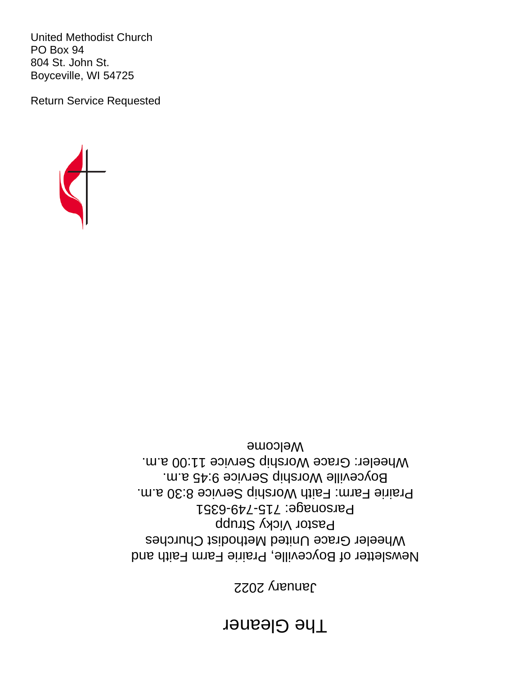# **The Gleaner**

2022 January

Newsletter of Boyceville, Prairie Farm Faith and Wheeler Grace United Methodist Churches Pastor Vicky Strupp Parsonage: 715-749-6351 Prairie Farm: Faith Worship Service 8:30 a.m. Boyceville Worship Service 9:45 a.m. Wheeler: Grace Worship Service 11:00 a.m. Welcome



United Methodist Church PO Box 94 804 St. John St. Boyceville, WI 54725

Return Service Requested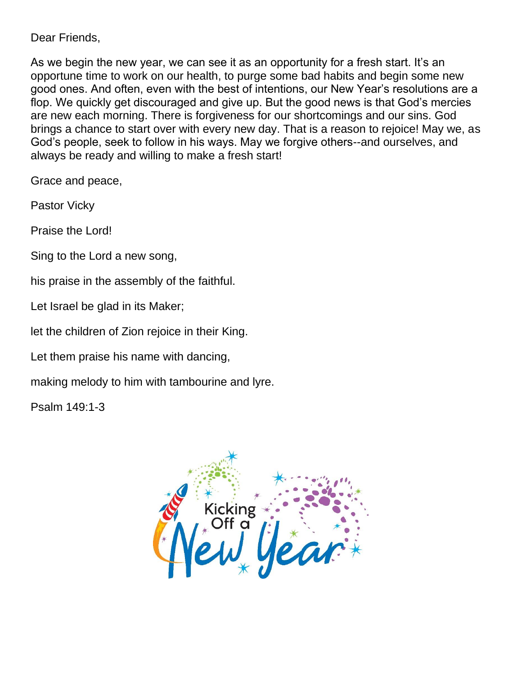Dear Friends,

As we begin the new year, we can see it as an opportunity for a fresh start. It's an opportune time to work on our health, to purge some bad habits and begin some new good ones. And often, even with the best of intentions, our New Year's resolutions are a flop. We quickly get discouraged and give up. But the good news is that God's mercies are new each morning. There is forgiveness for our shortcomings and our sins. God brings a chance to start over with every new day. That is a reason to rejoice! May we, as God's people, seek to follow in his ways. May we forgive others--and ourselves, and always be ready and willing to make a fresh start!

Grace and peace,

Pastor Vicky

Praise the Lord!

Sing to the Lord a new song,

his praise in the assembly of the faithful.

Let Israel be glad in its Maker;

let the children of Zion rejoice in their King.

Let them praise his name with dancing,

making melody to him with tambourine and lyre.

Psalm 149:1-3

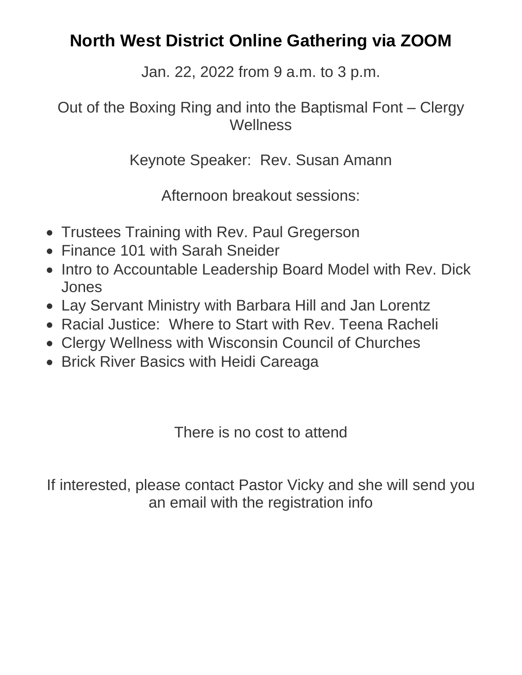# **North West District Online Gathering via ZOOM**

Jan. 22, 2022 from 9 a.m. to 3 p.m.

## Out of the Boxing Ring and into the Baptismal Font – Clergy **Wellness**

Keynote Speaker: Rev. Susan Amann

Afternoon breakout sessions:

- Trustees Training with Rev. Paul Gregerson
- Finance 101 with Sarah Sneider
- Intro to Accountable Leadership Board Model with Rev. Dick Jones
- Lay Servant Ministry with Barbara Hill and Jan Lorentz
- Racial Justice: Where to Start with Rev. Teena Racheli
- Clergy Wellness with Wisconsin Council of Churches
- Brick River Basics with Heidi Careaga

There is no cost to attend

If interested, please contact Pastor Vicky and she will send you an email with the registration info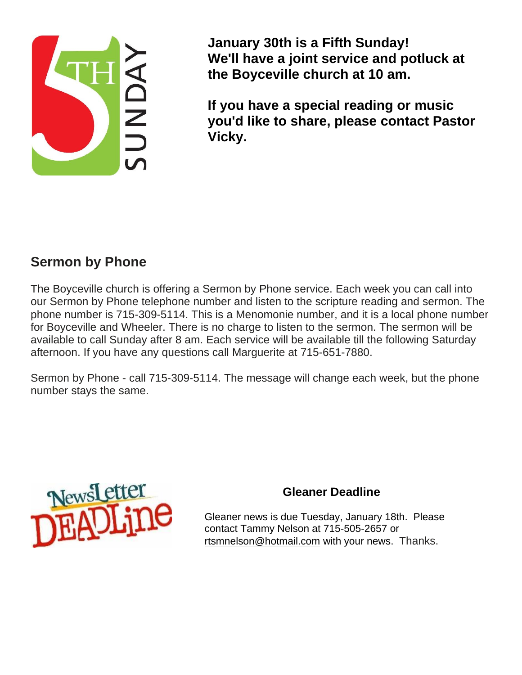

**January 30th is a Fifth Sunday! We'll have a joint service and potluck at the Boyceville church at 10 am.**

**If you have a special reading or music you'd like to share, please contact Pastor Vicky.**

### **Sermon by Phone**

The Boyceville church is offering a Sermon by Phone service. Each week you can call into our Sermon by Phone telephone number and listen to the scripture reading and sermon. The phone number is 715-309-5114. This is a Menomonie number, and it is a local phone number for Boyceville and Wheeler. There is no charge to listen to the sermon. The sermon will be available to call Sunday after 8 am. Each service will be available till the following Saturday afternoon. If you have any questions call Marguerite at 715-651-7880.

Sermon by Phone - call 715-309-5114. The message will change each week, but the phone number stays the same.



#### **Gleaner Deadline**

Gleaner news is due Tuesday, January 18th. Please contact Tammy Nelson at 715-505-2657 or [rtsmnelson@hotmail.com](mailto:rtsmnelson@hotmail.com) with your news. Thanks.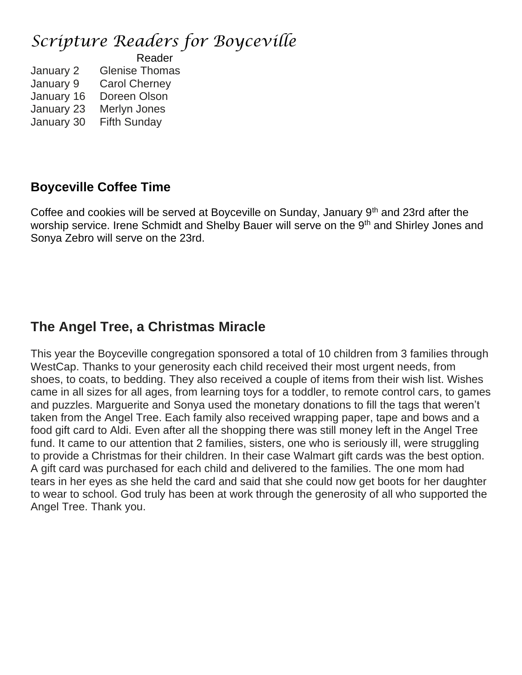## *Scripture Readers for Boyceville*

 Reader January 2 Glenise Thomas January 9 Carol Cherney January 16 Doreen Olson January 23 Merlyn Jones January 30 Fifth Sunday

#### **Boyceville Coffee Time**

Coffee and cookies will be served at Boyceville on Sunday, January 9<sup>th</sup> and 23rd after the worship service. Irene Schmidt and Shelby Bauer will serve on the 9<sup>th</sup> and Shirley Jones and Sonya Zebro will serve on the 23rd.

## **The Angel Tree, a Christmas Miracle**

This year the Boyceville congregation sponsored a total of 10 children from 3 families through WestCap. Thanks to your generosity each child received their most urgent needs, from shoes, to coats, to bedding. They also received a couple of items from their wish list. Wishes came in all sizes for all ages, from learning toys for a toddler, to remote control cars, to games and puzzles. Marguerite and Sonya used the monetary donations to fill the tags that weren't taken from the Angel Tree. Each family also received wrapping paper, tape and bows and a food gift card to Aldi. Even after all the shopping there was still money left in the Angel Tree fund. It came to our attention that 2 families, sisters, one who is seriously ill, were struggling to provide a Christmas for their children. In their case Walmart gift cards was the best option. A gift card was purchased for each child and delivered to the families. The one mom had tears in her eyes as she held the card and said that she could now get boots for her daughter to wear to school. God truly has been at work through the generosity of all who supported the Angel Tree. Thank you.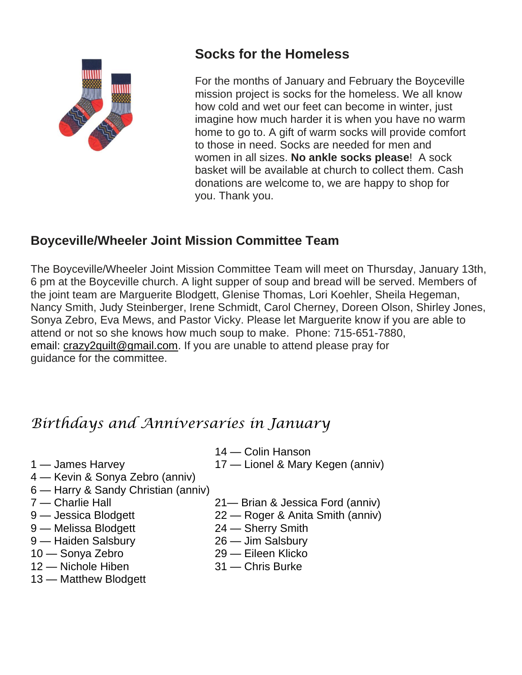

## **Socks for the Homeless**

For the months of January and February the Boyceville mission project is socks for the homeless. We all know how cold and wet our feet can become in winter, just imagine how much harder it is when you have no warm home to go to. A gift of warm socks will provide comfort to those in need. Socks are needed for men and women in all sizes. **No ankle socks please**! A sock basket will be available at church to collect them. Cash donations are welcome to, we are happy to shop for you. Thank you.

### **Boyceville/Wheeler Joint Mission Committee Team**

The Boyceville/Wheeler Joint Mission Committee Team will meet on Thursday, January 13th, 6 pm at the Boyceville church. A light supper of soup and bread will be served. Members of the joint team are Marguerite Blodgett, Glenise Thomas, Lori Koehler, Sheila Hegeman, Nancy Smith, Judy Steinberger, Irene Schmidt, Carol Cherney, Doreen Olson, Shirley Jones, Sonya Zebro, Eva Mews, and Pastor Vicky. Please let Marguerite know if you are able to attend or not so she knows how much soup to make. Phone: 715-651-7880, email: [crazy2quilt@gmail.com.](mailto:crazy2quilt@gmail.com) If you are unable to attend please pray for guidance for the committee.

## *Birthdays and Anniversaries in January*

- 14 Colin Hanson
- 1 James Harvey 17 Lionel & Mary Kegen (anniv)
- 4 Kevin & Sonya Zebro (anniv) 6 — Harry & Sandy Christian (anniv)
- 
- 
- 
- 9 Melissa Blodgett 24 Sherry Smith<br>9 Haiden Salsbury 26 Jim Salsbury
- 9 Haiden Salsbury
- 
- 13 Matthew Blodgett
- 7 Charlie Hall 21— Brian & Jessica Ford (anniv)
- 9 Jessica Blodgett 22 Roger & Anita Smith (anniv)
	-
	-
- 10 Sonya Zebro 29 Eileen Klicko
- 12 Nichole Hiben 31 Chris Burke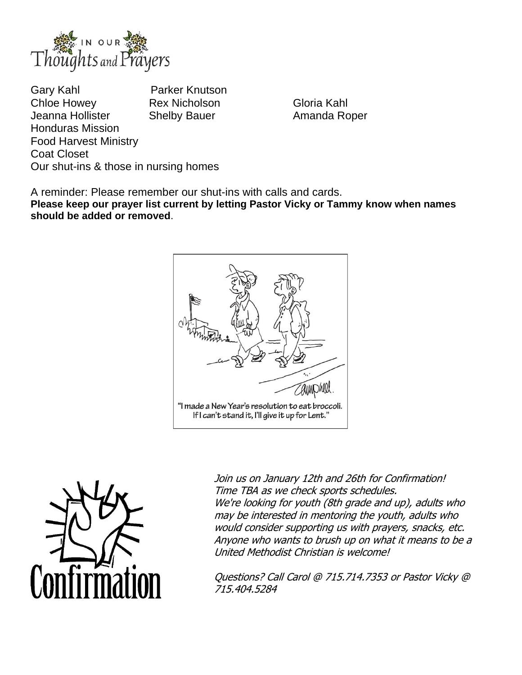

Gary Kahl **Parker Knutson** Chloe Howey **Rex Nicholson** Gloria Kahl Jeanna Hollister Shelby Bauer **Amanda Roper** Honduras Mission Food Harvest Ministry Coat Closet Our shut-ins & those in nursing homes

A reminder: Please remember our shut-ins with calls and cards.

**Please keep our prayer list current by letting Pastor Vicky or Tammy know when names should be added or removed**.





Join us on January 12th and 26th for Confirmation! Time TBA as we check sports schedules. We're looking for youth (8th grade and up), adults who may be interested in mentoring the youth, adults who would consider supporting us with prayers, snacks, etc. Anyone who wants to brush up on what it means to be <sup>a</sup> United Methodist Christian is welcome!

Questions? Call Carol @ 715.714.7353 or Pastor Vicky @ 715.404.5284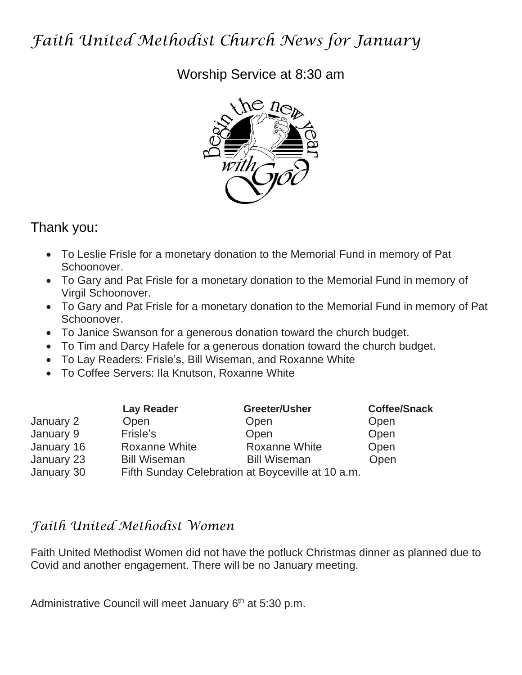## *Faith United Methodist Church News for January*

Worship Service at 8:30 am



## Thank you:

- To Leslie Frisle for a monetary donation to the Memorial Fund in memory of Pat Schoonover.
- To Gary and Pat Frisle for a monetary donation to the Memorial Fund in memory of Virgil Schoonover.
- To Gary and Pat Frisle for a monetary donation to the Memorial Fund in memory of Pat Schoonover.
- To Janice Swanson for a generous donation toward the church budget.
- To Tim and Darcy Hafele for a generous donation toward the church budget.
- To Lay Readers: Frisle's, Bill Wiseman, and Roxanne White
- To Coffee Servers: Ila Knutson, Roxanne White

|            | <b>Lay Reader</b>                                 | Greeter/Usher        | <b>Coffee/Snack</b> |
|------------|---------------------------------------------------|----------------------|---------------------|
| January 2  | Open                                              | Open                 | Open                |
| January 9  | Frisle's                                          | Open                 | Open                |
| January 16 | <b>Roxanne White</b>                              | <b>Roxanne White</b> | Open                |
| January 23 | <b>Bill Wiseman</b>                               | <b>Bill Wiseman</b>  | Open                |
| January 30 | Fifth Sunday Celebration at Boyceville at 10 a.m. |                      |                     |

## *Faith United Methodist Women*

Faith United Methodist Women did not have the potluck Christmas dinner as planned due to Covid and another engagement. There will be no January meeting.

Administrative Council will meet January 6<sup>th</sup> at 5:30 p.m.